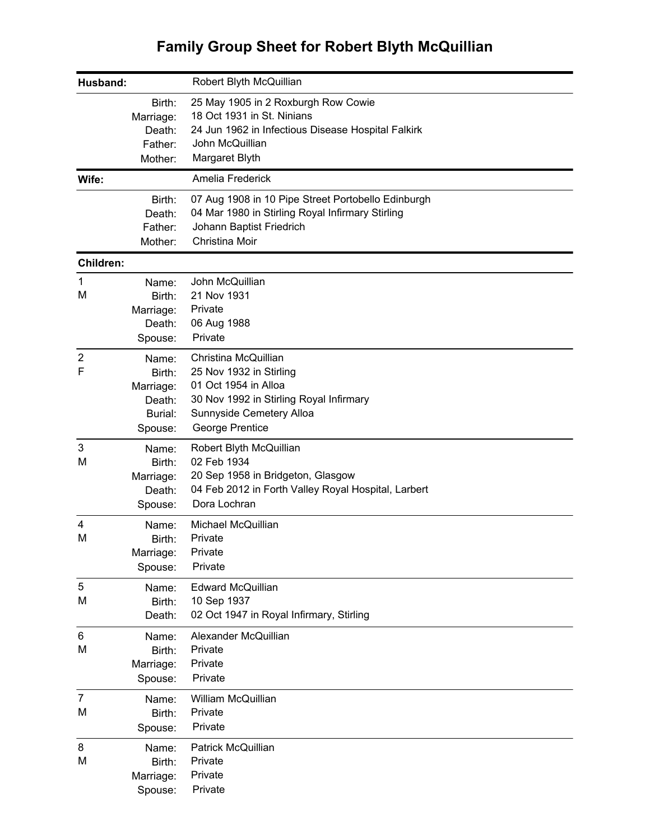## **Family Group Sheet for Robert Blyth McQuillian**

| Husband:            |                                                              | Robert Blyth McQuillian                                                                                                                                           |
|---------------------|--------------------------------------------------------------|-------------------------------------------------------------------------------------------------------------------------------------------------------------------|
|                     | Birth:<br>Marriage:<br>Death:<br>Father:                     | 25 May 1905 in 2 Roxburgh Row Cowie<br>18 Oct 1931 in St. Ninians<br>24 Jun 1962 in Infectious Disease Hospital Falkirk<br>John McQuillian                        |
|                     | Mother:                                                      | Margaret Blyth                                                                                                                                                    |
| Wife:               |                                                              | Amelia Frederick                                                                                                                                                  |
|                     | Birth:<br>Death:<br>Father:<br>Mother:                       | 07 Aug 1908 in 10 Pipe Street Portobello Edinburgh<br>04 Mar 1980 in Stirling Royal Infirmary Stirling<br>Johann Baptist Friedrich<br>Christina Moir              |
| <b>Children:</b>    |                                                              |                                                                                                                                                                   |
| 1<br>M              | Name:<br>Birth:<br>Marriage:<br>Death:<br>Spouse:            | John McQuillian<br>21 Nov 1931<br>Private<br>06 Aug 1988<br>Private                                                                                               |
| $\overline{2}$<br>F | Name:<br>Birth:<br>Marriage:<br>Death:<br>Burial:<br>Spouse: | Christina McQuillian<br>25 Nov 1932 in Stirling<br>01 Oct 1954 in Alloa<br>30 Nov 1992 in Stirling Royal Infirmary<br>Sunnyside Cemetery Alloa<br>George Prentice |
| 3<br>M              | Name:<br>Birth:<br>Marriage:<br>Death:<br>Spouse:            | Robert Blyth McQuillian<br>02 Feb 1934<br>20 Sep 1958 in Bridgeton, Glasgow<br>04 Feb 2012 in Forth Valley Royal Hospital, Larbert<br>Dora Lochran                |
| 4<br>M              | Name:<br>Birth:<br>Marriage:<br>Spouse:                      | Michael McQuillian<br>Private<br>Private<br>Private                                                                                                               |
| 5<br>M              | Name:<br>Birth:<br>Death:                                    | <b>Edward McQuillian</b><br>10 Sep 1937<br>02 Oct 1947 in Royal Infirmary, Stirling                                                                               |
| 6<br>M              | Name:<br>Birth:<br>Marriage:<br>Spouse:                      | Alexander McQuillian<br>Private<br>Private<br>Private                                                                                                             |
| $\overline{7}$<br>M | Name:<br>Birth:<br>Spouse:                                   | William McQuillian<br>Private<br>Private                                                                                                                          |
| 8<br>M              | Name:<br>Birth:<br>Marriage:<br>Spouse:                      | Patrick McQuillian<br>Private<br>Private<br>Private                                                                                                               |